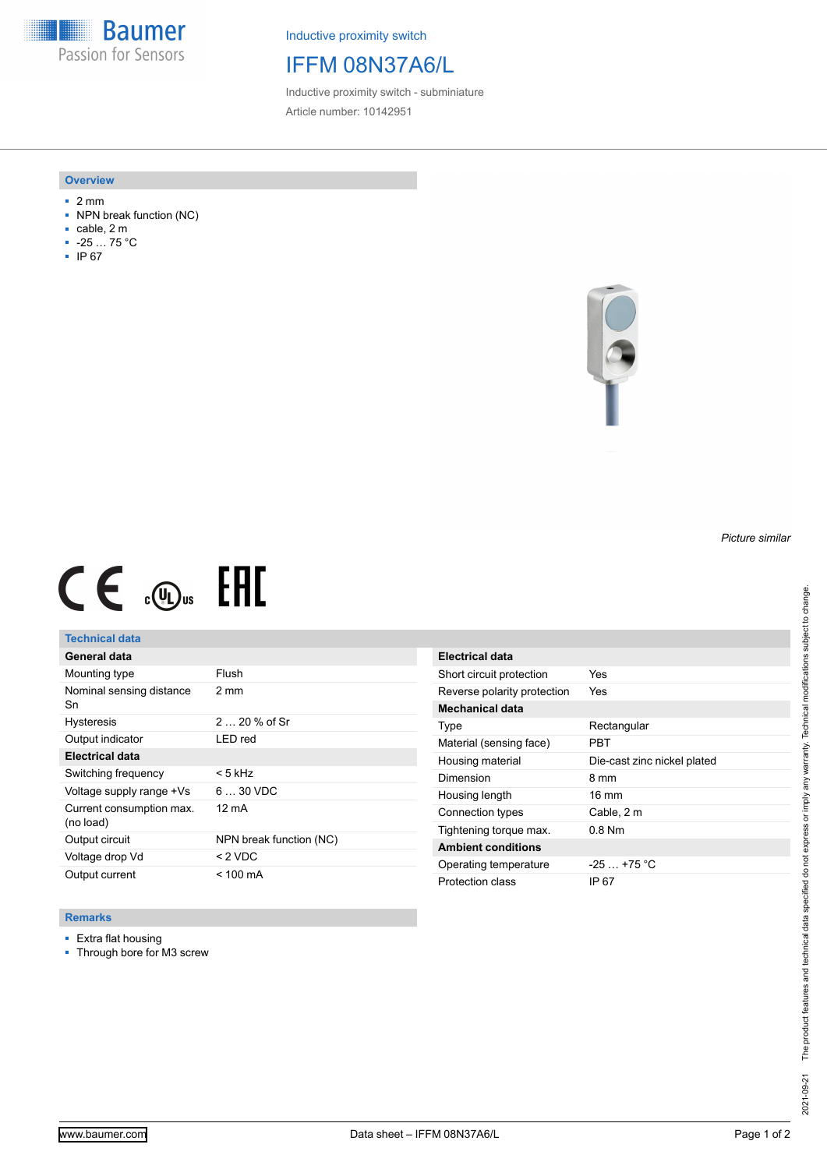**Baumer** Passion for Sensors

Inductive proximity switch

## IFFM 08N37A6/L

Inductive proximity switch - subminiature Article number: 10142951

#### **Overview**

- 2 mm
- NPN break function (NC)
- cable, 2 m
- -25 … 75 °C
- IP 67



# $CE \mathcal{L}$  .  $\mathbb{G}$ .

### **Technical data**

| General data                          |                         |
|---------------------------------------|-------------------------|
| Mounting type                         | Flush                   |
| Nominal sensing distance<br>Sn        | $2 \text{ mm}$          |
| <b>Hysteresis</b>                     | $220%$ of Sr            |
| Output indicator                      | LED red                 |
| <b>Electrical data</b>                |                         |
| Switching frequency                   | < 5 kHz                 |
| Voltage supply range +Vs              | $630$ VDC               |
| Current consumption max.<br>(no load) | 12 mA                   |
| Output circuit                        | NPN break function (NC) |
| Voltage drop Vd                       | $<$ 2 VDC               |
| Output current                        | < 100 mA                |

| <b>Electrical data</b>      |                             |
|-----------------------------|-----------------------------|
| Short circuit protection    | Yes                         |
| Reverse polarity protection | Yes                         |
| Mechanical data             |                             |
| Type                        | Rectangular                 |
| Material (sensing face)     | PRT                         |
| Housing material            | Die-cast zinc nickel plated |
| Dimension                   | 8 mm                        |
| Housing length              | $16 \text{ mm}$             |
| Connection types            | Cable, 2 m                  |
| Tightening torque max.      | 0.8 Nm                      |
| <b>Ambient conditions</b>   |                             |
| Operating temperature       | $-25+75 °C$                 |
| Protection class            | IP 67                       |

#### **Remarks**

■ Extra flat housing

■ Through bore for M3 screw

*Picture similar*